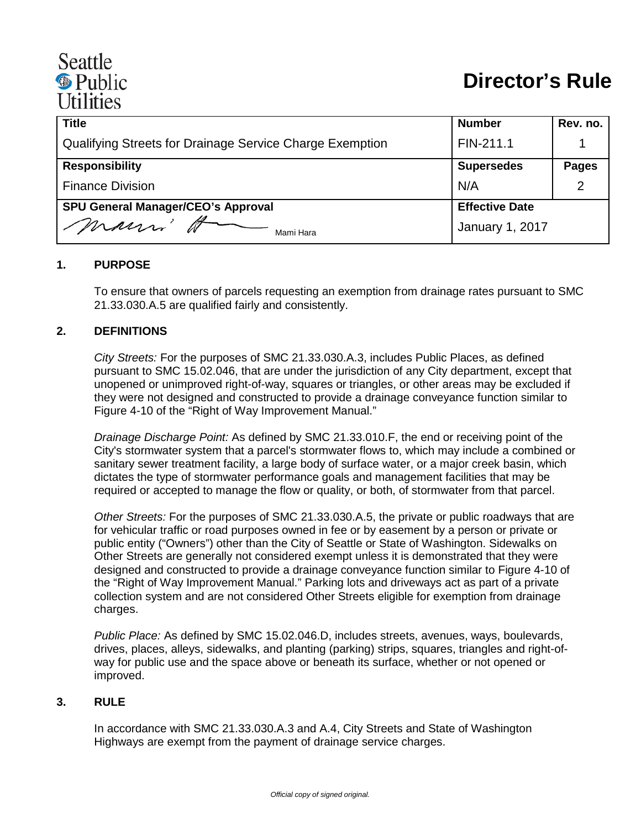# Seattle <sup><sup>®</sup> Public</sup> **Utilities**

| <b>Title</b>                                             | <b>Number</b>          | Rev. no.     |
|----------------------------------------------------------|------------------------|--------------|
| Qualifying Streets for Drainage Service Charge Exemption | FIN-211.1              |              |
| <b>Responsibility</b>                                    | <b>Supersedes</b>      | <b>Pages</b> |
| <b>Finance Division</b>                                  | N/A                    | 2            |
| <b>SPU General Manager/CEO's Approval</b>                | <b>Effective Date</b>  |              |
| mauri'<br>Mami Hara                                      | <b>January 1, 2017</b> |              |

#### **1. PURPOSE**

To ensure that owners of parcels requesting an exemption from drainage rates pursuant to SMC 21.33.030.A.5 are qualified fairly and consistently.

#### **2. DEFINITIONS**

*City Streets:* For the purposes of SMC 21.33.030.A.3, includes Public Places, as defined pursuant to SMC 15.02.046, that are under the jurisdiction of any City department, except that unopened or unimproved right-of-way, squares or triangles, or other areas may be excluded if they were not designed and constructed to provide a drainage conveyance function similar to Figure 4-10 of the "Right of Way Improvement Manual."

*Drainage Discharge Point:* As defined by SMC 21.33.010.F, the end or receiving point of the City's stormwater system that a parcel's stormwater flows to, which may include a combined or sanitary sewer treatment facility, a large body of surface water, or a major creek basin, which dictates the type of stormwater performance goals and management facilities that may be required or accepted to manage the flow or quality, or both, of stormwater from that parcel.

*Other Streets:* For the purposes of SMC 21.33.030.A.5, the private or public roadways that are for vehicular traffic or road purposes owned in fee or by easement by a person or private or public entity ("Owners") other than the City of Seattle or State of Washington. Sidewalks on Other Streets are generally not considered exempt unless it is demonstrated that they were designed and constructed to provide a drainage conveyance function similar to Figure 4-10 of the "Right of Way Improvement Manual." Parking lots and driveways act as part of a private collection system and are not considered Other Streets eligible for exemption from drainage charges.

*Public Place:* As defined by SMC 15.02.046.D, includes streets, avenues, ways, boulevards, drives, places, alleys, sidewalks, and planting (parking) strips, squares, triangles and right-ofway for public use and the space above or beneath its surface, whether or not opened or improved.

#### **3. RULE**

In accordance with SMC 21.33.030.A.3 and A.4, City Streets and State of Washington Highways are exempt from the payment of drainage service charges.